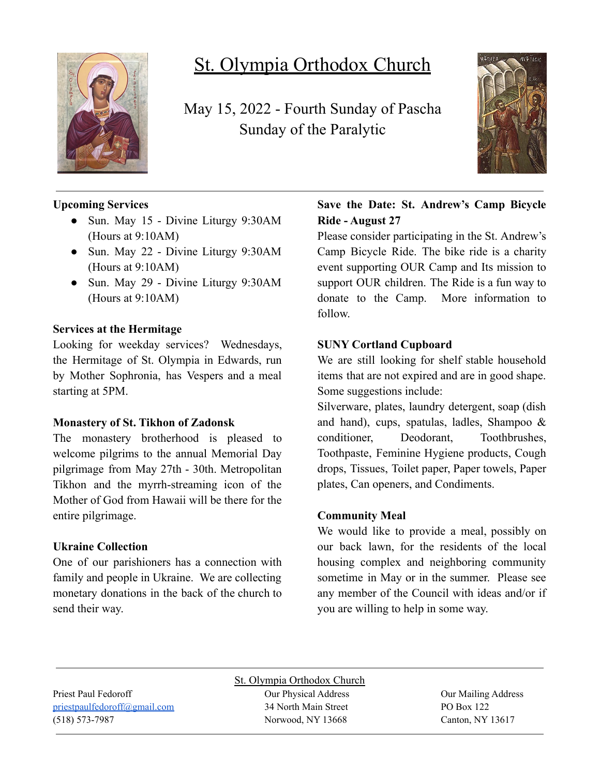

# St. Olympia Orthodox Church

May 15, 2022 - Fourth Sunday of Pascha Sunday of the Paralytic



# **Upcoming Services**

- Sun. May 15 Divine Liturgy 9:30AM (Hours at 9:10AM)
- Sun. May 22 Divine Liturgy 9:30AM (Hours at 9:10AM)
- Sun. May 29 Divine Liturgy 9:30AM (Hours at 9:10AM)

### **Services at the Hermitage**

Looking for weekday services? Wednesdays, the Hermitage of St. Olympia in Edwards, run by Mother Sophronia, has Vespers and a meal starting at 5PM.

### **Monastery of St. Tikhon of Zadonsk**

The monastery brotherhood is pleased to welcome pilgrims to the annual Memorial Day pilgrimage from May 27th - 30th. Metropolitan Tikhon and the myrrh-streaming icon of the Mother of God from Hawaii will be there for the entire pilgrimage.

### **Ukraine Collection**

One of our parishioners has a connection with family and people in Ukraine. We are collecting monetary donations in the back of the church to send their way.

# **Save the Date: St. Andrew's Camp Bicycle Ride - August 27**

Please consider participating in the St. Andrew's Camp Bicycle Ride. The bike ride is a charity event supporting OUR Camp and Its mission to support OUR children. The Ride is a fun way to donate to the Camp. More information to follow.

# **SUNY Cortland Cupboard**

We are still looking for shelf stable household items that are not expired and are in good shape. Some suggestions include:

Silverware, plates, laundry detergent, soap (dish and hand), cups, spatulas, ladles, Shampoo & conditioner, Deodorant, Toothbrushes, Toothpaste, Feminine Hygiene products, Cough drops, Tissues, Toilet paper, Paper towels, Paper plates, Can openers, and Condiments.

### **Community Meal**

We would like to provide a meal, possibly on our back lawn, for the residents of the local housing complex and neighboring community sometime in May or in the summer. Please see any member of the Council with ideas and/or if you are willing to help in some way.

(518) 573-7987 Norwood, NY 13668 Canton, NY 13617

St. Olympia Orthodox Church Priest Paul Fedoroff Our Physical Address Our Mailing Address [priestpaulfedoroff@gmail.com](mailto:priestpaulfedoroff@gmail.com) 34 North Main Street PO Box 122